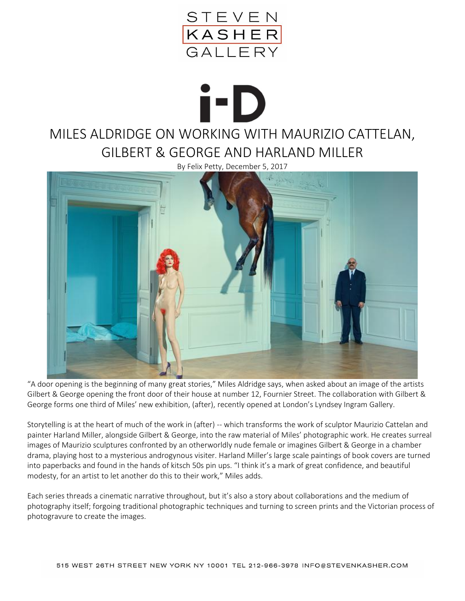

## i-D MILES ALDRIDGE ON WORKING WITH MAURIZIO CATTELAN, GILBERT & GEORGE AND HARLAND MILLER

By Felix Petty, December 5, 2017



"A door opening is the beginning of many great stories," Miles Aldridge says, when asked about an image of the artists Gilbert & George opening the front door of their house at number 12, Fournier Street. The collaboration with Gilbert & George forms one third of Miles' new exhibition, (after), recently opened at London's Lyndsey Ingram Gallery.

Storytelling is at the heart of much of the work in (after) -- which transforms the work of sculptor Maurizio Cattelan and painter Harland Miller, alongside Gilbert & George, into the raw material of Miles' photographic work. He creates surreal images of Maurizio sculptures confronted by an otherworldly nude female or imagines Gilbert & George in a chamber drama, playing host to a mysterious androgynous visiter. Harland Miller's large scale paintings of book covers are turned into paperbacks and found in the hands of kitsch 50s pin ups. "I think it's a mark of great confidence, and beautiful modesty, for an artist to let another do this to their work," Miles adds.

Each series threads a cinematic narrative throughout, but it's also a story about collaborations and the medium of photography itself; forgoing traditional photographic techniques and turning to screen prints and the Victorian process of photogravure to create the images.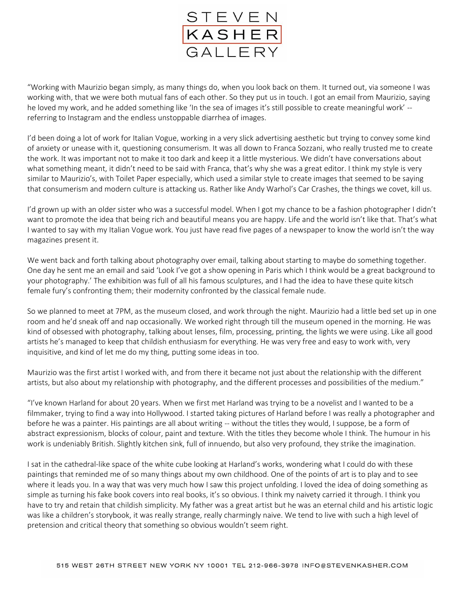

"Working with Maurizio began simply, as many things do, when you look back on them. It turned out, via someone I was working with, that we were both mutual fans of each other. So they put us in touch. I got an email from Maurizio, saying he loved my work, and he added something like 'In the sea of images it's still possible to create meaningful work' - referring to Instagram and the endless unstoppable diarrhea of images.

I'd been doing a lot of work for Italian Vogue, working in a very slick advertising aesthetic but trying to convey some kind of anxiety or unease with it, questioning consumerism. It was all down to Franca Sozzani, who really trusted me to create the work. It was important not to make it too dark and keep it a little mysterious. We didn't have conversations about what something meant, it didn't need to be said with Franca, that's why she was a great editor. I think my style is very similar to Maurizio's, with Toilet Paper especially, which used a similar style to create images that seemed to be saying that consumerism and modern culture is attacking us. Rather like Andy Warhol's Car Crashes, the things we covet, kill us.

I'd grown up with an older sister who was a successful model. When I got my chance to be a fashion photographer I didn't want to promote the idea that being rich and beautiful means you are happy. Life and the world isn't like that. That's what I wanted to say with my Italian Vogue work. You just have read five pages of a newspaper to know the world isn't the way magazines present it.

We went back and forth talking about photography over email, talking about starting to maybe do something together. One day he sent me an email and said 'Look I've got a show opening in Paris which I think would be a great background to your photography.' The exhibition was full of all his famous sculptures, and I had the idea to have these quite kitsch female fury's confronting them; their modernity confronted by the classical female nude.

So we planned to meet at 7PM, as the museum closed, and work through the night. Maurizio had a little bed set up in one room and he'd sneak off and nap occasionally. We worked right through till the museum opened in the morning. He was kind of obsessed with photography, talking about lenses, film, processing, printing, the lights we were using. Like all good artists he's managed to keep that childish enthusiasm for everything. He was very free and easy to work with, very inquisitive, and kind of let me do my thing, putting some ideas in too.

Maurizio was the first artist I worked with, and from there it became not just about the relationship with the different artists, but also about my relationship with photography, and the different processes and possibilities of the medium."

"I've known Harland for about 20 years. When we first met Harland was trying to be a novelist and I wanted to be a filmmaker, trying to find a way into Hollywood. I started taking pictures of Harland before I was really a photographer and before he was a painter. His paintings are all about writing -- without the titles they would, I suppose, be a form of abstract expressionism, blocks of colour, paint and texture. With the titles they become whole I think. The humour in his work is undeniably British. Slightly kitchen sink, full of innuendo, but also very profound, they strike the imagination.

I sat in the cathedral-like space of the white cube looking at Harland's works, wondering what I could do with these paintings that reminded me of so many things about my own childhood. One of the points of art is to play and to see where it leads you. In a way that was very much how I saw this project unfolding. I loved the idea of doing something as simple as turning his fake book covers into real books, it's so obvious. I think my naivety carried it through. I think you have to try and retain that childish simplicity. My father was a great artist but he was an eternal child and his artistic logic was like a children's storybook, it was really strange, really charmingly naive. We tend to live with such a high level of pretension and critical theory that something so obvious wouldn't seem right.